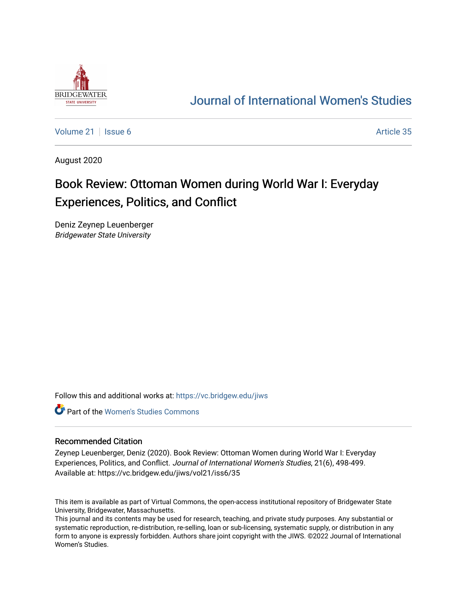

## [Journal of International Women's Studies](https://vc.bridgew.edu/jiws)

[Volume 21](https://vc.bridgew.edu/jiws/vol21) | [Issue 6](https://vc.bridgew.edu/jiws/vol21/iss6) Article 35

August 2020

## Book Review: Ottoman Women during World War I: Everyday Experiences, Politics, and Conflict

Deniz Zeynep Leuenberger Bridgewater State University

Follow this and additional works at: [https://vc.bridgew.edu/jiws](https://vc.bridgew.edu/jiws?utm_source=vc.bridgew.edu%2Fjiws%2Fvol21%2Fiss6%2F35&utm_medium=PDF&utm_campaign=PDFCoverPages)

**C** Part of the Women's Studies Commons

## Recommended Citation

Zeynep Leuenberger, Deniz (2020). Book Review: Ottoman Women during World War I: Everyday Experiences, Politics, and Conflict. Journal of International Women's Studies, 21(6), 498-499. Available at: https://vc.bridgew.edu/jiws/vol21/iss6/35

This item is available as part of Virtual Commons, the open-access institutional repository of Bridgewater State University, Bridgewater, Massachusetts.

This journal and its contents may be used for research, teaching, and private study purposes. Any substantial or systematic reproduction, re-distribution, re-selling, loan or sub-licensing, systematic supply, or distribution in any form to anyone is expressly forbidden. Authors share joint copyright with the JIWS. ©2022 Journal of International Women's Studies.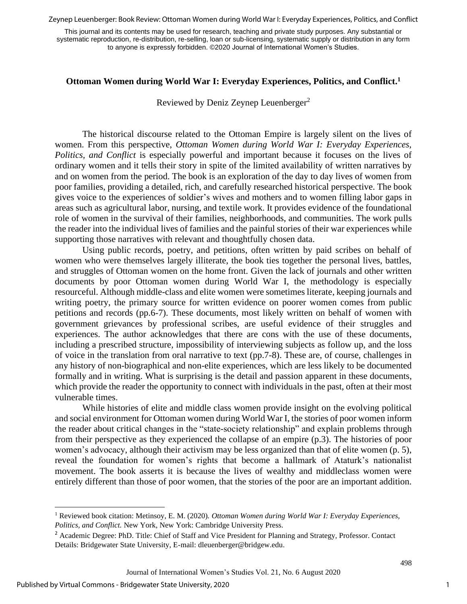Zeynep Leuenberger: Book Review: Ottoman Women during World War I: Everyday Experiences, Politics, and Conflict

This journal and its contents may be used for research, teaching and private study purposes. Any substantial or systematic reproduction, re-distribution, re-selling, loan or sub-licensing, systematic supply or distribution in any form to anyone is expressly forbidden. ©2020 Journal of International Women's Studies.

## **Ottoman Women during World War I: Everyday Experiences, Politics, and Conflict. 1**

Reviewed by Deniz Zeynep Leuenberger<sup>2</sup>

The historical discourse related to the Ottoman Empire is largely silent on the lives of women. From this perspective, *Ottoman Women during World War I: Everyday Experiences, Politics, and Conflict* is especially powerful and important because it focuses on the lives of ordinary women and it tells their story in spite of the limited availability of written narratives by and on women from the period. The book is an exploration of the day to day lives of women from poor families, providing a detailed, rich, and carefully researched historical perspective. The book gives voice to the experiences of soldier's wives and mothers and to women filling labor gaps in areas such as agricultural labor, nursing, and textile work. It provides evidence of the foundational role of women in the survival of their families, neighborhoods, and communities. The work pulls the reader into the individual lives of families and the painful stories of their war experiences while supporting those narratives with relevant and thoughtfully chosen data.

Using public records, poetry, and petitions, often written by paid scribes on behalf of women who were themselves largely illiterate, the book ties together the personal lives, battles, and struggles of Ottoman women on the home front. Given the lack of journals and other written documents by poor Ottoman women during World War I, the methodology is especially resourceful. Although middle-class and elite women were sometimes literate, keeping journals and writing poetry, the primary source for written evidence on poorer women comes from public petitions and records (pp.6-7). These documents, most likely written on behalf of women with government grievances by professional scribes, are useful evidence of their struggles and experiences. The author acknowledges that there are cons with the use of these documents, including a prescribed structure, impossibility of interviewing subjects as follow up, and the loss of voice in the translation from oral narrative to text (pp.7-8). These are, of course, challenges in any history of non-biographical and non-elite experiences, which are less likely to be documented formally and in writing. What is surprising is the detail and passion apparent in these documents, which provide the reader the opportunity to connect with individuals in the past, often at their most vulnerable times.

While histories of elite and middle class women provide insight on the evolving political and social environment for Ottoman women during World War I, the stories of poor women inform the reader about critical changes in the "state-society relationship" and explain problems through from their perspective as they experienced the collapse of an empire (p.3). The histories of poor women's advocacy, although their activism may be less organized than that of elite women (p. 5), reveal the foundation for women's rights that become a hallmark of Ataturk's nationalist movement. The book asserts it is because the lives of wealthy and middleclass women were entirely different than those of poor women, that the stories of the poor are an important addition.

1

<sup>1</sup> Reviewed book citation: Metinsoy, E. M. (2020). *Ottoman Women during World War I: Everyday Experiences, Politics, and Conflict.* New York, New York: Cambridge University Press.

<sup>&</sup>lt;sup>2</sup> Academic Degree: PhD. Title: Chief of Staff and Vice President for Planning and Strategy, Professor. Contact Details: Bridgewater State University, E-mail[: dleuenberger@bridgew.edu.](mailto:dleuenberger@bridgew.edu)

Journal of International Women's Studies Vol. 21, No. 6 August 2020